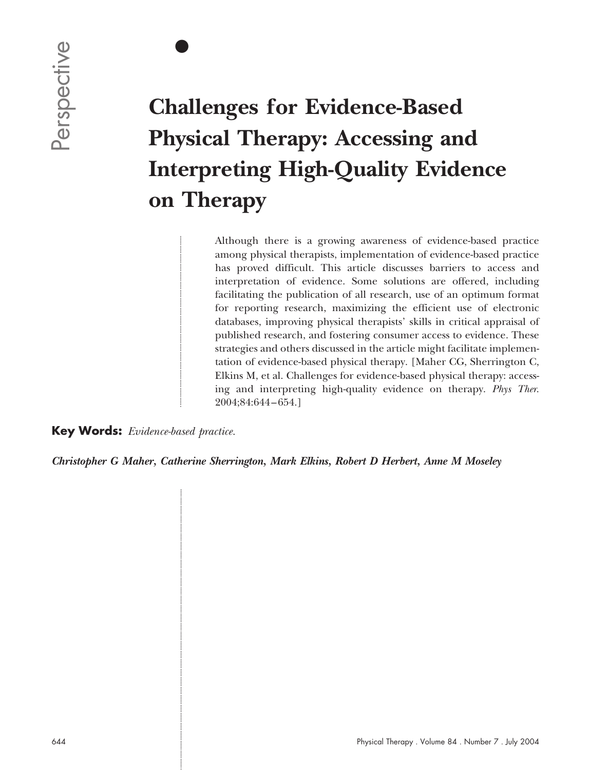# **Challenges for Evidence-Based Physical Therapy: Accessing and Interpreting High-Quality Evidence on Therapy**

Although there is a growing awareness of evidence-based practice among physical therapists, implementation of evidence-based practice has proved difficult. This article discusses barriers to access and interpretation of evidence. Some solutions are offered, including facilitating the publication of all research, use of an optimum format for reporting research, maximizing the efficient use of electronic databases, improving physical therapists' skills in critical appraisal of published research, and fostering consumer access to evidence. These strategies and others discussed in the article might facilitate implementation of evidence-based physical therapy. [Maher CG, Sherrington C, Elkins M, et al. Challenges for evidence-based physical therapy: accessing and interpreting high-quality evidence on therapy. *Phys Ther*. 2004;84:644–654.] **Challenges for Evidence-Based**<br>  $\frac{60}{60}$ <br> **Physical Therapy:** Accessing and<br> **Interpreting High-Quality Evidence**<br> **on Therapy**<br>  $\frac{200}{200}$ <br> **Physical Therapy**<br>  $\frac{200}{200}$ <br>  $\frac{200}{200}$ <br>  $\frac{200}{200}$ <br>  $\frac{400}{$ 

**Key Words:** *Evidence-based practice.*

 $\bullet$ 

*Christopher G Maher, Catherine Sherrington, Mark Elkins, Robert D Herbert, Anne M Moseley*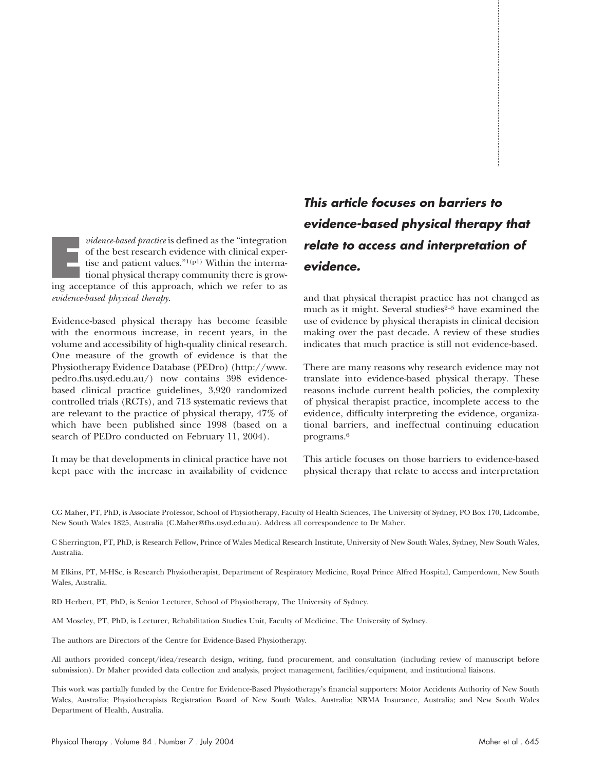*vidence-based practice* is defined as the "integration of the best research evidence with clinical expertise and patient values."<sup>1(p1)</sup> Within the international physical therapy community there is growing acceptance of t of the best research evidence with clinical expertise and patient values."1(p1) Within the international physical therapy community there is growing acceptance of this approach, which we refer to as *evidence-based physical therapy*.

Evidence-based physical therapy has become feasible with the enormous increase, in recent years, in the volume and accessibility of high-quality clinical research. One measure of the growth of evidence is that the Physiotherapy Evidence Database (PEDro) (http://www. pedro.fhs.usyd.edu.au/) now contains 398 evidencebased clinical practice guidelines, 3,920 randomized controlled trials (RCTs), and 713 systematic reviews that are relevant to the practice of physical therapy, 47% of which have been published since 1998 (based on a search of PEDro conducted on February 11, 2004).

It may be that developments in clinical practice have not kept pace with the increase in availability of evidence

# *This article focuses on barriers to evidence-based physical therapy that relate to access and interpretation of evidence.*

and that physical therapist practice has not changed as much as it might. Several studies<sup>2–5</sup> have examined the use of evidence by physical therapists in clinical decision making over the past decade. A review of these studies indicates that much practice is still not evidence-based.

There are many reasons why research evidence may not translate into evidence-based physical therapy. These reasons include current health policies, the complexity of physical therapist practice, incomplete access to the evidence, difficulty interpreting the evidence, organizational barriers, and ineffectual continuing education programs.6

This article focuses on those barriers to evidence-based physical therapy that relate to access and interpretation

CG Maher, PT, PhD, is Associate Professor, School of Physiotherapy, Faculty of Health Sciences, The University of Sydney, PO Box 170, Lidcombe, New South Wales 1825, Australia (C.Maher@fhs.usyd.edu.au). Address all correspondence to Dr Maher.

C Sherrington, PT, PhD, is Research Fellow, Prince of Wales Medical Research Institute, University of New South Wales, Sydney, New South Wales, Australia.

M Elkins, PT, M-HSc, is Research Physiotherapist, Department of Respiratory Medicine, Royal Prince Alfred Hospital, Camperdown, New South Wales, Australia.

RD Herbert, PT, PhD, is Senior Lecturer, School of Physiotherapy, The University of Sydney.

AM Moseley, PT, PhD, is Lecturer, Rehabilitation Studies Unit, Faculty of Medicine, The University of Sydney.

The authors are Directors of the Centre for Evidence-Based Physiotherapy.

All authors provided concept/idea/research design, writing, fund procurement, and consultation (including review of manuscript before submission). Dr Maher provided data collection and analysis, project management, facilities/equipment, and institutional liaisons.

This work was partially funded by the Centre for Evidence-Based Physiotherapy's financial supporters: Motor Accidents Authority of New South Wales, Australia; Physiotherapists Registration Board of New South Wales, Australia; NRMA Insurance, Australia; and New South Wales Department of Health, Australia.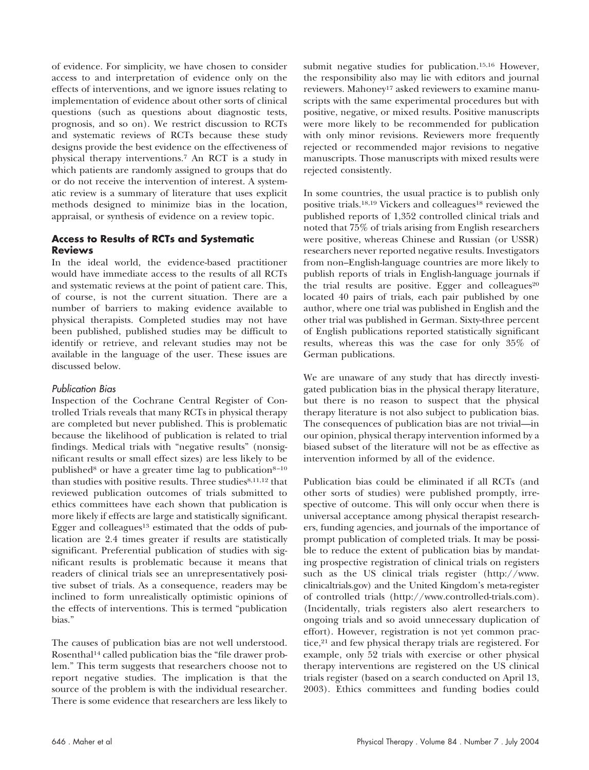of evidence. For simplicity, we have chosen to consider access to and interpretation of evidence only on the effects of interventions, and we ignore issues relating to implementation of evidence about other sorts of clinical questions (such as questions about diagnostic tests, prognosis, and so on). We restrict discussion to RCTs and systematic reviews of RCTs because these study designs provide the best evidence on the effectiveness of physical therapy interventions.7 An RCT is a study in which patients are randomly assigned to groups that do or do not receive the intervention of interest. A systematic review is a summary of literature that uses explicit methods designed to minimize bias in the location, appraisal, or synthesis of evidence on a review topic.

# **Access to Results of RCTs and Systematic Reviews**

In the ideal world, the evidence-based practitioner would have immediate access to the results of all RCTs and systematic reviews at the point of patient care. This, of course, is not the current situation. There are a number of barriers to making evidence available to physical therapists. Completed studies may not have been published, published studies may be difficult to identify or retrieve, and relevant studies may not be available in the language of the user. These issues are discussed below.

#### *Publication Bias*

Inspection of the Cochrane Central Register of Controlled Trials reveals that many RCTs in physical therapy are completed but never published. This is problematic because the likelihood of publication is related to trial findings. Medical trials with "negative results" (nonsignificant results or small effect sizes) are less likely to be published<sup>8</sup> or have a greater time lag to publication<sup>8-10</sup> than studies with positive results. Three studies<sup>8,11,12</sup> that reviewed publication outcomes of trials submitted to ethics committees have each shown that publication is more likely if effects are large and statistically significant. Egger and colleagues $13$  estimated that the odds of publication are 2.4 times greater if results are statistically significant. Preferential publication of studies with significant results is problematic because it means that readers of clinical trials see an unrepresentatively positive subset of trials. As a consequence, readers may be inclined to form unrealistically optimistic opinions of the effects of interventions. This is termed "publication bias."

The causes of publication bias are not well understood. Rosenthal14 called publication bias the "file drawer problem." This term suggests that researchers choose not to report negative studies. The implication is that the source of the problem is with the individual researcher. There is some evidence that researchers are less likely to submit negative studies for publication.<sup>15,16</sup> However, the responsibility also may lie with editors and journal reviewers. Mahoney<sup>17</sup> asked reviewers to examine manuscripts with the same experimental procedures but with positive, negative, or mixed results. Positive manuscripts were more likely to be recommended for publication with only minor revisions. Reviewers more frequently rejected or recommended major revisions to negative manuscripts. Those manuscripts with mixed results were rejected consistently.

In some countries, the usual practice is to publish only positive trials.<sup>18,19</sup> Vickers and colleagues<sup>18</sup> reviewed the published reports of 1,352 controlled clinical trials and noted that 75% of trials arising from English researchers were positive, whereas Chinese and Russian (or USSR) researchers never reported negative results. Investigators from non–English-language countries are more likely to publish reports of trials in English-language journals if the trial results are positive. Egger and colleagues<sup>20</sup> located 40 pairs of trials, each pair published by one author, where one trial was published in English and the other trial was published in German. Sixty-three percent of English publications reported statistically significant results, whereas this was the case for only 35% of German publications.

We are unaware of any study that has directly investigated publication bias in the physical therapy literature, but there is no reason to suspect that the physical therapy literature is not also subject to publication bias. The consequences of publication bias are not trivial—in our opinion, physical therapy intervention informed by a biased subset of the literature will not be as effective as intervention informed by all of the evidence.

Publication bias could be eliminated if all RCTs (and other sorts of studies) were published promptly, irrespective of outcome. This will only occur when there is universal acceptance among physical therapist researchers, funding agencies, and journals of the importance of prompt publication of completed trials. It may be possible to reduce the extent of publication bias by mandating prospective registration of clinical trials on registers such as the US clinical trials register (http://www. clinicaltrials.gov) and the United Kingdom's meta-register of controlled trials (http://www.controlled-trials.com). (Incidentally, trials registers also alert researchers to ongoing trials and so avoid unnecessary duplication of effort). However, registration is not yet common practice,<sup>21</sup> and few physical therapy trials are registered. For example, only 52 trials with exercise or other physical therapy interventions are registered on the US clinical trials register (based on a search conducted on April 13, 2003). Ethics committees and funding bodies could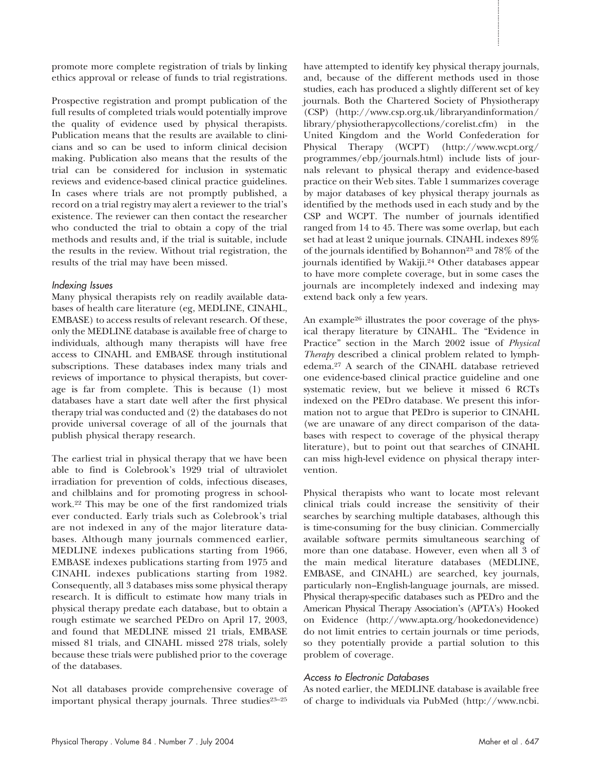promote more complete registration of trials by linking ethics approval or release of funds to trial registrations.

Prospective registration and prompt publication of the full results of completed trials would potentially improve the quality of evidence used by physical therapists. Publication means that the results are available to clinicians and so can be used to inform clinical decision making. Publication also means that the results of the trial can be considered for inclusion in systematic reviews and evidence-based clinical practice guidelines. In cases where trials are not promptly published, a record on a trial registry may alert a reviewer to the trial's existence. The reviewer can then contact the researcher who conducted the trial to obtain a copy of the trial methods and results and, if the trial is suitable, include the results in the review. Without trial registration, the results of the trial may have been missed.

#### *Indexing Issues*

Many physical therapists rely on readily available databases of health care literature (eg, MEDLINE, CINAHL, EMBASE) to access results of relevant research. Of these, only the MEDLINE database is available free of charge to individuals, although many therapists will have free access to CINAHL and EMBASE through institutional subscriptions. These databases index many trials and reviews of importance to physical therapists, but coverage is far from complete. This is because (1) most databases have a start date well after the first physical therapy trial was conducted and (2) the databases do not provide universal coverage of all of the journals that publish physical therapy research.

The earliest trial in physical therapy that we have been able to find is Colebrook's 1929 trial of ultraviolet irradiation for prevention of colds, infectious diseases, and chilblains and for promoting progress in schoolwork.22 This may be one of the first randomized trials ever conducted. Early trials such as Colebrook's trial are not indexed in any of the major literature databases. Although many journals commenced earlier, MEDLINE indexes publications starting from 1966, EMBASE indexes publications starting from 1975 and CINAHL indexes publications starting from 1982. Consequently, all 3 databases miss some physical therapy research. It is difficult to estimate how many trials in physical therapy predate each database, but to obtain a rough estimate we searched PEDro on April 17, 2003, and found that MEDLINE missed 21 trials, EMBASE missed 81 trials, and CINAHL missed 278 trials, solely because these trials were published prior to the coverage of the databases.

Not all databases provide comprehensive coverage of important physical therapy journals. Three studies $23-25$ 

have attempted to identify key physical therapy journals, and, because of the different methods used in those studies, each has produced a slightly different set of key journals. Both the Chartered Society of Physiotherapy (CSP) (http://www.csp.org.uk/libraryandinformation/ library/physiotherapycollections/corelist.cfm) in the United Kingdom and the World Confederation for Physical Therapy (WCPT) (http://www.wcpt.org/ programmes/ebp/journals.html) include lists of journals relevant to physical therapy and evidence-based practice on their Web sites. Table 1 summarizes coverage by major databases of key physical therapy journals as identified by the methods used in each study and by the CSP and WCPT. The number of journals identified ranged from 14 to 45. There was some overlap, but each set had at least 2 unique journals. CINAHL indexes 89% of the journals identified by Bohannon<sup>23</sup> and 78% of the journals identified by Wakiji.<sup>24</sup> Other databases appear to have more complete coverage, but in some cases the journals are incompletely indexed and indexing may extend back only a few years. pronos more complex regions on other by mixing back statement in the distriction of the sympatric control therapy interaction of the sympatric control to the sympatric control to the sympatric control to the sympatric con

An example26 illustrates the poor coverage of the physical therapy literature by CINAHL. The "Evidence in Practice" section in the March 2002 issue of *Physical Therapy* described a clinical problem related to lymphedema.27 A search of the CINAHL database retrieved one evidence-based clinical practice guideline and one systematic review, but we believe it missed 6 RCTs indexed on the PEDro database. We present this information not to argue that PEDro is superior to CINAHL (we are unaware of any direct comparison of the databases with respect to coverage of the physical therapy literature), but to point out that searches of CINAHL can miss high-level evidence on physical therapy intervention.

Physical therapists who want to locate most relevant clinical trials could increase the sensitivity of their searches by searching multiple databases, although this is time-consuming for the busy clinician. Commercially available software permits simultaneous searching of more than one database. However, even when all 3 of the main medical literature databases (MEDLINE, EMBASE, and CINAHL) are searched, key journals, particularly non–English-language journals, are missed. Physical therapy-specific databases such as PEDro and the American Physical Therapy Association's (APTA's) Hooked on Evidence (http://www.apta.org/hookedonevidence) do not limit entries to certain journals or time periods, so they potentially provide a partial solution to this problem of coverage.

# *Access to Electronic Databases*

As noted earlier, the MEDLINE database is available free of charge to individuals via PubMed (http://www.ncbi.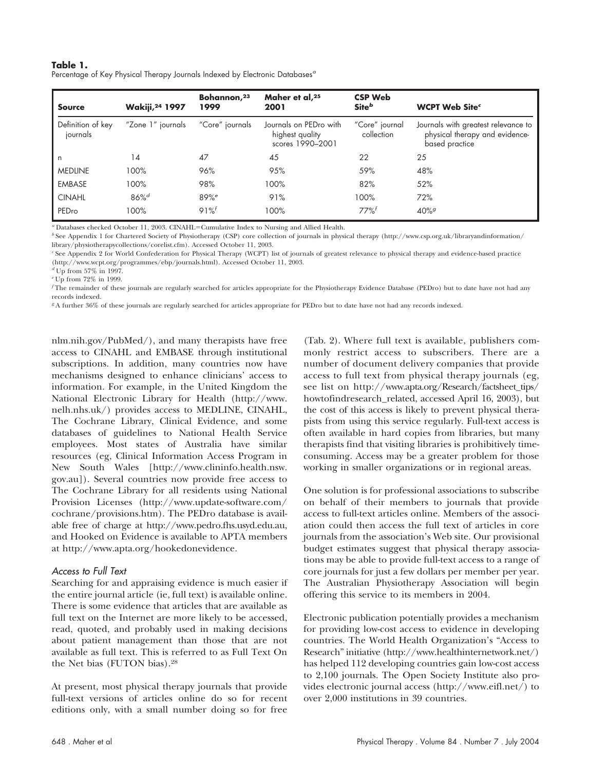#### **Table 1.**

Percentage of Key Physical Therapy Journals Indexed by Electronic Databases*<sup>a</sup>*

| <b>Source</b>                 | Wakiji, <sup>24</sup> 1997 | Bohannon, 23<br>1999 | Maher et al, 25<br>2001                                       | <b>CSP Web</b><br>Site <sup>b</sup> | WCPT Web Site <sup>c</sup>                                                              |
|-------------------------------|----------------------------|----------------------|---------------------------------------------------------------|-------------------------------------|-----------------------------------------------------------------------------------------|
| Definition of key<br>journals | "Zone 1" journals          | "Core" journals      | Journals on PEDro with<br>highest quality<br>scores 1990-2001 | "Core" journal<br>collection        | Journals with greatest relevance to<br>physical therapy and evidence-<br>based practice |
| n                             | 14                         | 47                   | 45                                                            | 22                                  | 25                                                                                      |
| <b>MEDLINE</b>                | 100%                       | 96%                  | 95%                                                           | 59%                                 | 48%                                                                                     |
| <b>EMBASE</b>                 | 100%                       | 98%                  | 100%                                                          | 82%                                 | 52%                                                                                     |
| <b>CINAHL</b>                 | $86%^{d}$                  | 89%e                 | 91%                                                           | 100%                                | 72%                                                                                     |
| PEDro                         | 100%                       | $91%^{f}$            | 100%                                                          | $77%^{f}$                           | $40\%$ <sup>g</sup>                                                                     |

<sup>a</sup> Databases checked October 11, 2003. CINAHL=Cumulative Index to Nursing and Allied Health.

*b* See Appendix 1 for Chartered Society of Physiotherapy (CSP) core collection of journals in physical therapy (http://www.csp.org.uk/libraryandinformation/ library/physiotherapycollections/corelist.cfm). Accessed October 11, 2003.

*<sup>c</sup>* See Appendix 2 for World Confederation for Physical Therapy (WCPT) list of journals of greatest relevance to physical therapy and evidence-based practice (http://www.wcpt.org/programmes/ebp/journals.html). Accessed October 11, 2003.

*<sup>d</sup>* Up from 57% in 1997.

*<sup>e</sup>* Up from 72% in 1999.

*f* The remainder of these journals are regularly searched for articles appropriate for the Physiotherapy Evidence Database (PEDro) but to date have not had any records indexed.

*<sup>g</sup>* A further 36% of these journals are regularly searched for articles appropriate for PEDro but to date have not had any records indexed.

nlm.nih.gov/PubMed/), and many therapists have free access to CINAHL and EMBASE through institutional subscriptions. In addition, many countries now have mechanisms designed to enhance clinicians' access to information. For example, in the United Kingdom the National Electronic Library for Health (http://www. nelh.nhs.uk/) provides access to MEDLINE, CINAHL, The Cochrane Library, Clinical Evidence, and some databases of guidelines to National Health Service employees. Most states of Australia have similar resources (eg, Clinical Information Access Program in New South Wales [http://www.clininfo.health.nsw. gov.au]). Several countries now provide free access to The Cochrane Library for all residents using National Provision Licenses (http://www.update-software.com/ cochrane/provisions.htm). The PEDro database is available free of charge at http://www.pedro.fhs.usyd.edu.au, and Hooked on Evidence is available to APTA members at http://www.apta.org/hookedonevidence.

#### *Access to Full Text*

Searching for and appraising evidence is much easier if the entire journal article (ie, full text) is available online. There is some evidence that articles that are available as full text on the Internet are more likely to be accessed, read, quoted, and probably used in making decisions about patient management than those that are not available as full text. This is referred to as Full Text On the Net bias (FUTON bias).28

At present, most physical therapy journals that provide full-text versions of articles online do so for recent editions only, with a small number doing so for free

(Tab. 2). Where full text is available, publishers commonly restrict access to subscribers. There are a number of document delivery companies that provide access to full text from physical therapy journals (eg, see list on http://www.apta.org/Research/factsheet\_tips/ howtofindresearch\_related, accessed April 16, 2003), but the cost of this access is likely to prevent physical therapists from using this service regularly. Full-text access is often available in hard copies from libraries, but many therapists find that visiting libraries is prohibitively timeconsuming. Access may be a greater problem for those working in smaller organizations or in regional areas.

One solution is for professional associations to subscribe on behalf of their members to journals that provide access to full-text articles online. Members of the association could then access the full text of articles in core journals from the association's Web site. Our provisional budget estimates suggest that physical therapy associations may be able to provide full-text access to a range of core journals for just a few dollars per member per year. The Australian Physiotherapy Association will begin offering this service to its members in 2004.

Electronic publication potentially provides a mechanism for providing low-cost access to evidence in developing countries. The World Health Organization's "Access to Research" initiative (http://www.healthinternetwork.net/) has helped 112 developing countries gain low-cost access to 2,100 journals. The Open Society Institute also provides electronic journal access (http://www.eifl.net/) to over 2,000 institutions in 39 countries.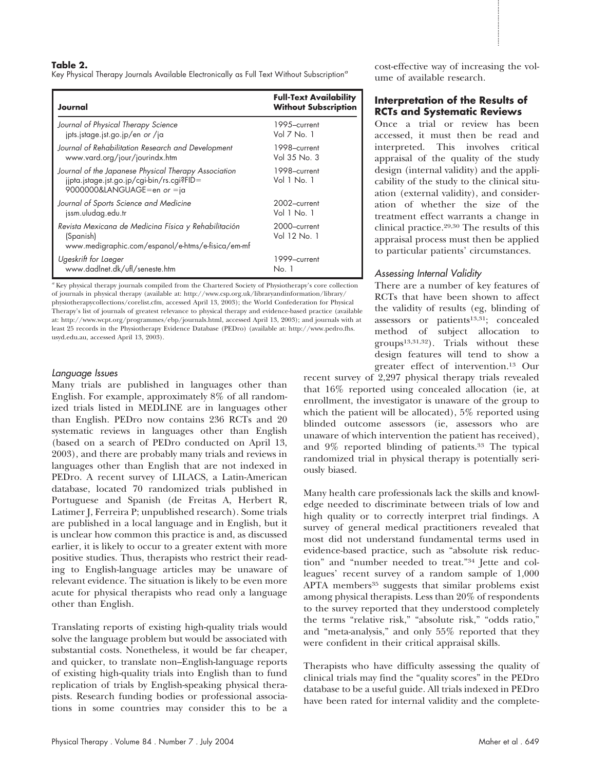#### **Table 2.**

|                                                                                                                                                                                                                                                                                                                                                                                                                                                                                                                                                                                                                                                                                                                                                                                                                                                                                                                                             | <b>Full-Text Availability</b> | ume of available research.<br>Interpretation of the Results of                                                                                                                                                                                                                                                                                                                                                                                                                                                                                                                                                                                                                                                                                                                                                                                                               |
|---------------------------------------------------------------------------------------------------------------------------------------------------------------------------------------------------------------------------------------------------------------------------------------------------------------------------------------------------------------------------------------------------------------------------------------------------------------------------------------------------------------------------------------------------------------------------------------------------------------------------------------------------------------------------------------------------------------------------------------------------------------------------------------------------------------------------------------------------------------------------------------------------------------------------------------------|-------------------------------|------------------------------------------------------------------------------------------------------------------------------------------------------------------------------------------------------------------------------------------------------------------------------------------------------------------------------------------------------------------------------------------------------------------------------------------------------------------------------------------------------------------------------------------------------------------------------------------------------------------------------------------------------------------------------------------------------------------------------------------------------------------------------------------------------------------------------------------------------------------------------|
| Journal                                                                                                                                                                                                                                                                                                                                                                                                                                                                                                                                                                                                                                                                                                                                                                                                                                                                                                                                     | <b>Without Subscription</b>   | <b>RCTs and Systematic Reviews</b>                                                                                                                                                                                                                                                                                                                                                                                                                                                                                                                                                                                                                                                                                                                                                                                                                                           |
| Journal of Physical Therapy Science<br>jpts.jstage.jst.go.jp/en or /ja                                                                                                                                                                                                                                                                                                                                                                                                                                                                                                                                                                                                                                                                                                                                                                                                                                                                      | 1995-current<br>Vol 7 No. 1   | Once a trial or review has been<br>accessed, it must then be read and                                                                                                                                                                                                                                                                                                                                                                                                                                                                                                                                                                                                                                                                                                                                                                                                        |
| Journal of Rehabilitation Research and Development<br>www.vard.org/jour/jourindx.htm                                                                                                                                                                                                                                                                                                                                                                                                                                                                                                                                                                                                                                                                                                                                                                                                                                                        | 1998-current<br>Vol 35 No. 3  | interpreted. This involves critical<br>appraisal of the quality of the study                                                                                                                                                                                                                                                                                                                                                                                                                                                                                                                                                                                                                                                                                                                                                                                                 |
| Journal of the Japanese Physical Therapy Association<br>jipta.jstage.jst.go.jp/cgi-bin/rs.cgi?FID=<br>9000000&LANGUAGE=en or =ja                                                                                                                                                                                                                                                                                                                                                                                                                                                                                                                                                                                                                                                                                                                                                                                                            | 1998-current<br>Vol 1 No. 1   | design (internal validity) and the appli-<br>cability of the study to the clinical situ-<br>ation (external validity), and consider-                                                                                                                                                                                                                                                                                                                                                                                                                                                                                                                                                                                                                                                                                                                                         |
| Journal of Sports Science and Medicine<br>jssm.uludag.edu.tr                                                                                                                                                                                                                                                                                                                                                                                                                                                                                                                                                                                                                                                                                                                                                                                                                                                                                | 2002-current<br>Vol 1 No. 1   | ation of whether the size of the<br>treatment effect warrants a change in                                                                                                                                                                                                                                                                                                                                                                                                                                                                                                                                                                                                                                                                                                                                                                                                    |
| Revista Mexicana de Medicina Física y Rehabilitación<br>(Spanish)<br>www.medigraphic.com/espanol/e-htms/e-fisica/em-mf                                                                                                                                                                                                                                                                                                                                                                                                                                                                                                                                                                                                                                                                                                                                                                                                                      | 2000-current<br>Vol 12 No. 1  | clinical practice. <sup>29,30</sup> The results of this<br>appraisal process must then be applied<br>to particular patients' circumstances.                                                                                                                                                                                                                                                                                                                                                                                                                                                                                                                                                                                                                                                                                                                                  |
| Ugeskrift for Laeger<br>www.dadlnet.dk/ufl/seneste.htm                                                                                                                                                                                                                                                                                                                                                                                                                                                                                                                                                                                                                                                                                                                                                                                                                                                                                      | 1999-current<br>No. 1         | Assessing Internal Validity                                                                                                                                                                                                                                                                                                                                                                                                                                                                                                                                                                                                                                                                                                                                                                                                                                                  |
| "Key physical therapy journals compiled from the Chartered Society of Physiotherapy's core collection<br>/of journals in physical therapy (available at: http://www.csp.org.uk/libraryandinformation/library<br>physiotherapycollections/corelist.cfm, accessed April 13, 2003); the World Confederation for Physical<br>Therapy's list of journals of greatest relevance to physical therapy and evidence-based practice (available<br>at: http://www.wcpt.org/programmes/ebp/journals.html, accessed April 13, 2003); and journals with at<br>least 25 records in the Physiotherapy Evidence Database (PEDro) (available at: http://www.pedro.fhs.<br>usyd.edu.au, accessed April 13, 2003).<br>Language Issues                                                                                                                                                                                                                           |                               | There are a number of key features of<br>RCTs that have been shown to affect<br>the validity of results (eg, blinding of<br>assessors or patients <sup>13,31</sup> ; concealed<br>of subject allocation to<br>method<br>groups <sup>13,31,32</sup> ). Trials without these<br>design features will tend to show a<br>greater effect of intervention. <sup>13</sup> Our<br>recent survey of 2,297 physical therapy trials revealed                                                                                                                                                                                                                                                                                                                                                                                                                                            |
| Many trials are published in languages other than<br>English. For example, approximately 8% of all random-<br>ized trials listed in MEDLINE are in languages other<br>than English. PEDro now contains 236 RCTs and 20<br>systematic reviews in languages other than English<br>(based on a search of PEDro conducted on April 13,<br>2003), and there are probably many trials and reviews in<br>languages other than English that are not indexed in<br>PEDro. A recent survey of LILACS, a Latin-American<br>database, located 70 randomized trials published in<br>Portuguese and Spanish (de Freitas A, Herbert R,<br>Latimer J, Ferreira P; unpublished research). Some trials<br>are published in a local language and in English, but it<br>is unclear how common this practice is and, as discussed<br>earlier, it is likely to occur to a greater extent with more<br>positive studies. Thus, therapists who restrict their read- |                               | that 16% reported using concealed allocation (ie, at<br>enrollment, the investigator is unaware of the group to<br>which the patient will be allocated), $5\%$ reported using<br>blinded outcome assessors (ie, assessors who are<br>unaware of which intervention the patient has received),<br>and 9% reported blinding of patients. <sup>33</sup> The typical<br>randomized trial in physical therapy is potentially seri-<br>ously biased.<br>Many health care professionals lack the skills and knowl-<br>edge needed to discriminate between trials of low and<br>high quality or to correctly interpret trial findings. A<br>survey of general medical practitioners revealed that<br>most did not understand fundamental terms used in<br>evidence-based practice, such as "absolute risk reduc-<br>tion" and "number needed to treat." <sup>34</sup> Jette and col- |
| ing to English-language articles may be unaware of<br>relevant evidence. The situation is likely to be even more<br>acute for physical therapists who read only a language<br>other than English.<br>Translating reports of existing high-quality trials would<br>solve the language problem but would be associated with<br>substantial costs. Nonetheless, it would be far cheaper,<br>and quicker, to translate non-English-language reports                                                                                                                                                                                                                                                                                                                                                                                                                                                                                             |                               | leagues' recent survey of a random sample of 1,000<br>APTA members <sup>35</sup> suggests that similar problems exist<br>among physical therapists. Less than 20% of respondents<br>to the survey reported that they understood completely<br>the terms "relative risk," "absolute risk," "odds ratio,"<br>and "meta-analysis," and only 55% reported that they<br>were confident in their critical appraisal skills.                                                                                                                                                                                                                                                                                                                                                                                                                                                        |
| of existing high-quality trials into English than to fund<br>replication of trials by English-speaking physical thera-<br>pists. Research funding bodies or professional associa-<br>tions in some countries may consider this to be a                                                                                                                                                                                                                                                                                                                                                                                                                                                                                                                                                                                                                                                                                                      |                               | Therapists who have difficulty assessing the quality of<br>clinical trials may find the "quality scores" in the PEDro<br>database to be a useful guide. All trials indexed in PEDro<br>have been rated for internal validity and the complete-                                                                                                                                                                                                                                                                                                                                                                                                                                                                                                                                                                                                                               |
| Physical Therapy. Volume 84. Number 7. July 2004                                                                                                                                                                                                                                                                                                                                                                                                                                                                                                                                                                                                                                                                                                                                                                                                                                                                                            |                               | Maher et al . 649                                                                                                                                                                                                                                                                                                                                                                                                                                                                                                                                                                                                                                                                                                                                                                                                                                                            |

#### *Language Issues*

#### **Interpretation of the Results of RCTs and Systematic Reviews**

# *Assessing Internal Validity*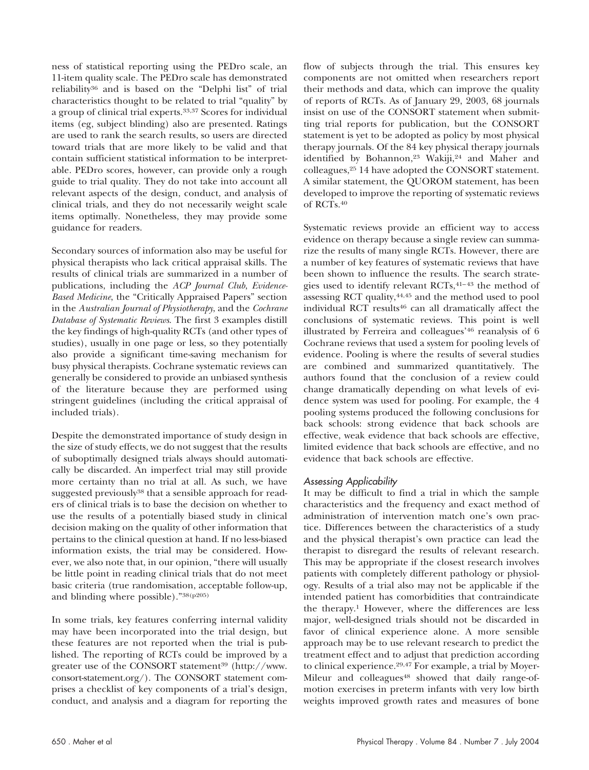ness of statistical reporting using the PEDro scale, an 11-item quality scale. The PEDro scale has demonstrated reliability36 and is based on the "Delphi list" of trial characteristics thought to be related to trial "quality" by a group of clinical trial experts.33,37 Scores for individual items (eg, subject blinding) also are presented. Ratings are used to rank the search results, so users are directed toward trials that are more likely to be valid and that contain sufficient statistical information to be interpretable. PEDro scores, however, can provide only a rough guide to trial quality. They do not take into account all relevant aspects of the design, conduct, and analysis of clinical trials, and they do not necessarily weight scale items optimally. Nonetheless, they may provide some guidance for readers.

Secondary sources of information also may be useful for physical therapists who lack critical appraisal skills. The results of clinical trials are summarized in a number of publications, including the *ACP Journal Club*, *Evidence-Based Medicine*, the "Critically Appraised Papers" section in the *Australian Journal of Physiotherapy*, and the *Cochrane Database of Systematic Reviews*. The first 3 examples distill the key findings of high-quality RCTs (and other types of studies), usually in one page or less, so they potentially also provide a significant time-saving mechanism for busy physical therapists. Cochrane systematic reviews can generally be considered to provide an unbiased synthesis of the literature because they are performed using stringent guidelines (including the critical appraisal of included trials).

Despite the demonstrated importance of study design in the size of study effects, we do not suggest that the results of suboptimally designed trials always should automatically be discarded. An imperfect trial may still provide more certainty than no trial at all. As such, we have suggested previously<sup>38</sup> that a sensible approach for readers of clinical trials is to base the decision on whether to use the results of a potentially biased study in clinical decision making on the quality of other information that pertains to the clinical question at hand. If no less-biased information exists, the trial may be considered. However, we also note that, in our opinion, "there will usually be little point in reading clinical trials that do not meet basic criteria (true randomisation, acceptable follow-up, and blinding where possible)."38(p205)

In some trials, key features conferring internal validity may have been incorporated into the trial design, but these features are not reported when the trial is published. The reporting of RCTs could be improved by a greater use of the CONSORT statement<sup>39</sup> (http://www. consort-statement.org/). The CONSORT statement comprises a checklist of key components of a trial's design, conduct, and analysis and a diagram for reporting the flow of subjects through the trial. This ensures key components are not omitted when researchers report their methods and data, which can improve the quality of reports of RCTs. As of January 29, 2003, 68 journals insist on use of the CONSORT statement when submitting trial reports for publication, but the CONSORT statement is yet to be adopted as policy by most physical therapy journals. Of the 84 key physical therapy journals identified by Bohannon,<sup>23</sup> Wakiji,<sup>24</sup> and Maher and colleagues,25 14 have adopted the CONSORT statement. A similar statement, the QUOROM statement, has been developed to improve the reporting of systematic reviews of RCTs.40

Systematic reviews provide an efficient way to access evidence on therapy because a single review can summarize the results of many single RCTs. However, there are a number of key features of systematic reviews that have been shown to influence the results. The search strategies used to identify relevant RCTs, 41-43 the method of assessing RCT quality,44,45 and the method used to pool individual RCT results<sup>46</sup> can all dramatically affect the conclusions of systematic reviews. This point is well illustrated by Ferreira and colleagues'46 reanalysis of 6 Cochrane reviews that used a system for pooling levels of evidence. Pooling is where the results of several studies are combined and summarized quantitatively. The authors found that the conclusion of a review could change dramatically depending on what levels of evidence system was used for pooling. For example, the 4 pooling systems produced the following conclusions for back schools: strong evidence that back schools are effective, weak evidence that back schools are effective, limited evidence that back schools are effective, and no evidence that back schools are effective.

# *Assessing Applicability*

It may be difficult to find a trial in which the sample characteristics and the frequency and exact method of administration of intervention match one's own practice. Differences between the characteristics of a study and the physical therapist's own practice can lead the therapist to disregard the results of relevant research. This may be appropriate if the closest research involves patients with completely different pathology or physiology. Results of a trial also may not be applicable if the intended patient has comorbidities that contraindicate the therapy.1 However, where the differences are less major, well-designed trials should not be discarded in favor of clinical experience alone. A more sensible approach may be to use relevant research to predict the treatment effect and to adjust that prediction according to clinical experience.29,47 For example, a trial by Moyer-Mileur and colleagues<sup>48</sup> showed that daily range-ofmotion exercises in preterm infants with very low birth weights improved growth rates and measures of bone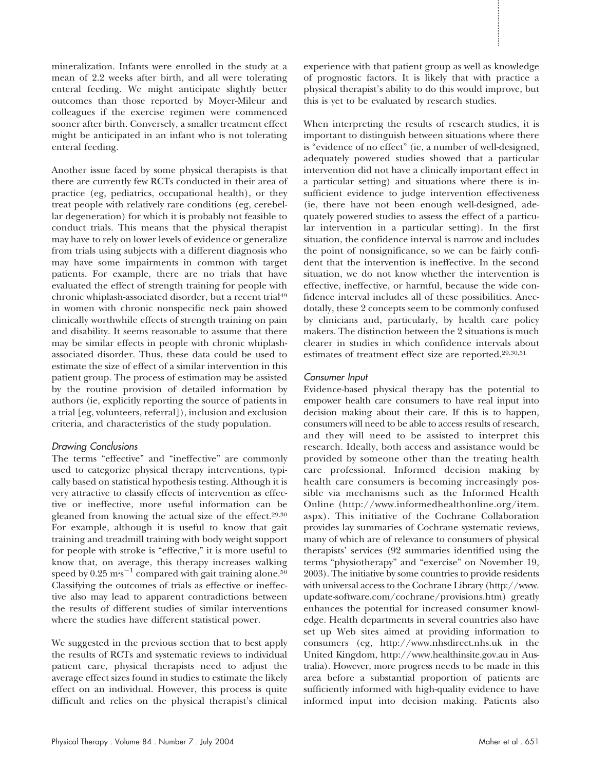mineralization. Infants were enrolled in the study at a mean of 2.2 weeks after birth, and all were tolerating enteral feeding. We might anticipate slightly better outcomes than those reported by Moyer-Mileur and colleagues if the exercise regimen were commenced sooner after birth. Conversely, a smaller treatment effect might be anticipated in an infant who is not tolerating enteral feeding.

Another issue faced by some physical therapists is that there are currently few RCTs conducted in their area of practice (eg, pediatrics, occupational health), or they treat people with relatively rare conditions (eg, cerebellar degeneration) for which it is probably not feasible to conduct trials. This means that the physical therapist may have to rely on lower levels of evidence or generalize from trials using subjects with a different diagnosis who may have some impairments in common with target patients. For example, there are no trials that have evaluated the effect of strength training for people with chronic whiplash-associated disorder, but a recent trial<sup>49</sup> in women with chronic nonspecific neck pain showed clinically worthwhile effects of strength training on pain and disability. It seems reasonable to assume that there may be similar effects in people with chronic whiplashassociated disorder. Thus, these data could be used to estimate the size of effect of a similar intervention in this patient group. The process of estimation may be assisted by the routine provision of detailed information by authors (ie, explicitly reporting the source of patients in a trial [eg, volunteers, referral]), inclusion and exclusion criteria, and characteristics of the study population.

# *Drawing Conclusions*

The terms "effective" and "ineffective" are commonly used to categorize physical therapy interventions, typically based on statistical hypothesis testing. Although it is very attractive to classify effects of intervention as effective or ineffective, more useful information can be gleaned from knowing the actual size of the effect.<sup>29,30</sup> For example, although it is useful to know that gait training and treadmill training with body weight support for people with stroke is "effective," it is more useful to know that, on average, this therapy increases walking speed by  $0.25 \text{ m} \cdot \text{s}^{-1}$  compared with gait training alone.<sup>50</sup> Classifying the outcomes of trials as effective or ineffective also may lead to apparent contradictions between the results of different studies of similar interventions where the studies have different statistical power.

We suggested in the previous section that to best apply the results of RCTs and systematic reviews to individual patient care, physical therapists need to adjust the average effect sizes found in studies to estimate the likely effect on an individual. However, this process is quite difficult and relies on the physical therapist's clinical experience with that patient group as well as knowledge of prognostic factors. It is likely that with practice a physical therapist's ability to do this would improve, but this is yet to be evaluated by research studies.

When interpreting the results of research studies, it is important to distinguish between situations where there is "evidence of no effect" (ie, a number of well-designed, adequately powered studies showed that a particular intervention did not have a clinically important effect in a particular setting) and situations where there is insufficient evidence to judge intervention effectiveness (ie, there have not been enough well-designed, adequately powered studies to assess the effect of a particular intervention in a particular setting). In the first situation, the confidence interval is narrow and includes the point of nonsignificance, so we can be fairly confident that the intervention is ineffective. In the second situation, we do not know whether the intervention is effective, ineffective, or harmful, because the wide confidence interval includes all of these possibilities. Anecdotally, these 2 concepts seem to be commonly confused by clinicians and, particularly, by health care policy makers. The distinction between the 2 situations is much clearer in studies in which confidence intervals about estimates of treatment effect size are reported.29,30,51

# *Consumer Input*

Evidence-based physical therapy has the potential to empower health care consumers to have real input into decision making about their care. If this is to happen, consumers will need to be able to access results of research, and they will need to be assisted to interpret this research. Ideally, both access and assistance would be provided by someone other than the treating health care professional. Informed decision making by health care consumers is becoming increasingly possible via mechanisms such as the Informed Health Online (http://www.informedhealthonline.org/item. aspx). This initiative of the Cochrane Collaboration provides lay summaries of Cochrane systematic reviews, many of which are of relevance to consumers of physical therapists' services (92 summaries identified using the terms "physiotherapy" and "exercise" on November 19, 2003). The initiative by some countries to provide residents with universal access to the Cochrane Library (http://www. update-software.com/cochrane/provisions.htm) greatly enhances the potential for increased consumer knowledge. Health departments in several countries also have set up Web sites aimed at providing information to consumers (eg, http://www.nhsdirect.nhs.uk in the United Kingdom, http://www.healthinsite.gov.au in Australia). However, more progress needs to be made in this area before a substantial proportion of patients are sufficiently informed with high-quality evidence to have informed input into decision making. Patients also nioxidization, belong were consisted in the study in a copyrigence with the patient groups well as hereafted and the study of the study of the study of the study of the study of the study of the study of the study of the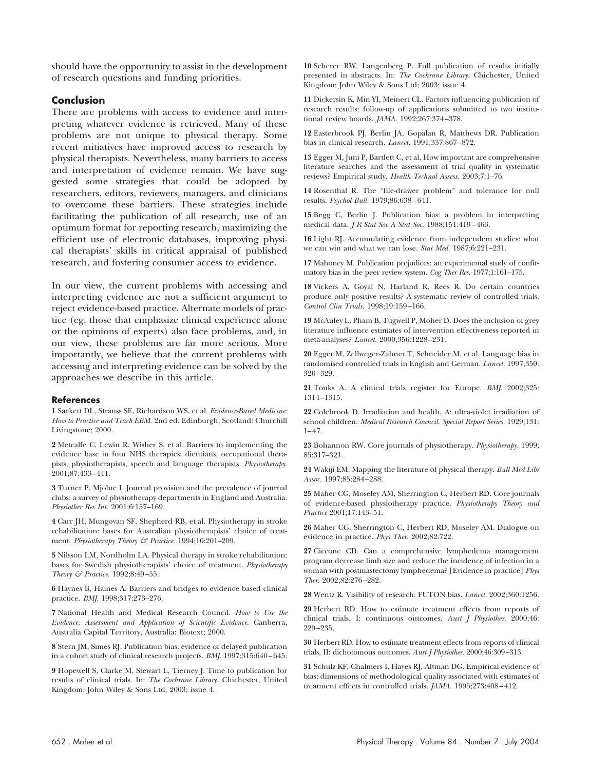should have the opportunity to assist in the development of research questions and funding priorities.

#### **Conclusion**

There are problems with access to evidence and interpreting whatever evidence is retrieved. Many of these problems are not unique to physical therapy. Some recent initiatives have improved access to research by physical therapists. Nevertheless, many barriers to access and interpretation of evidence remain. We have suggested some strategies that could be adopted by researchers, editors, reviewers, managers, and clinicians to overcome these barriers. These strategies include facilitating the publication of all research, use of an optimum format for reporting research, maximizing the efficient use of electronic databases, improving physical therapists' skills in critical appraisal of published research, and fostering consumer access to evidence.

In our view, the current problems with accessing and interpreting evidence are not a sufficient argument to reject evidence-based practice. Alternate models of practice (eg, those that emphasize clinical experience alone or the opinions of experts) also face problems, and, in our view, these problems are far more serious. More importantly, we believe that the current problems with accessing and interpreting evidence can be solved by the approaches we describe in this article.

#### **References**

**1** Sackett DL, Strauss SE, Richardson WS, et al. *Evidence-Based Medicine: How to Practice and Teach EBM.* 2nd ed. Edinburgh, Scotland: Churchill Livingstone; 2000.

**2** Metcalfe C, Lewin R, Wisher S, et al. Barriers to implementing the evidence base in four NHS therapies: dietitians, occupational therapists, physiotherapists, speech and language therapists. *Physiotherapy.* 2001;87:433–441.

**3** Turner P, Mjolne I. Journal provision and the prevalence of journal clubs: a survey of physiotherapy departments in England and Australia. *Physiother Res Int.* 2001;6:157–169.

**4** Carr JH, Mungovan SF, Shepherd RB, et al. Physiotherapy in stroke rehabilitation: bases for Australian physiotherapists' choice of treatment. *Physiotherapy Theory & Practice.* 1994;10:201–209.

**5** Nilsson LM, Nordholm LA. Physical therapy in stroke rehabilitation: bases for Swedish physiotherapists' choice of treatment. *Physiotherapy Theory & Practice.* 1992;8:49–55.

**6** Haynes B, Haines A. Barriers and bridges to evidence based clinical practice. *BMJ.* 1998;317:273–276.

**7** National Health and Medical Research Council. *How to Use the Evidence: Assessment and Application of Scientific Evidence.* Canberra, Australia Capital Territory, Australia: Biotext; 2000.

**8** Stern JM, Simes RJ. Publication bias: evidence of delayed publication in a cohort study of clinical research projects. *BMJ.* 1997;315:640–645.

**9** Hopewell S, Clarke M, Stewart L, Tierney J. Time to publication for results of clinical trials. In: *The Cochrane Library.* Chichester, United Kingdom: John Wiley & Sons Ltd; 2003; issue 4.

**10** Scherer RW, Langenberg P. Full publication of results initially presented in abstracts. In: *The Cochrane Library.* Chichester, United Kingdom: John Wiley & Sons Ltd; 2003; issue 4.

**11** Dickersin K, Min YI, Meinert CL. Factors influencing publication of research results: follow-up of applications submitted to two institutional review boards. *JAMA.* 1992;267:374–378.

**12** Easterbrook PJ, Berlin JA, Gopalan R, Matthews DR. Publication bias in clinical research. *Lancet.* 1991;337:867–872.

**13** Egger M, Juni P, Bartlett C, et al. How important are comprehensive literature searches and the assessment of trial quality in systematic reviews? Empirical study. *Health Technol Assess.* 2003;7:1–76.

**14** Rosenthal R. The "file-drawer problem" and tolerance for null results. *Psychol Bull.* 1979;86:638–641.

**15** Begg C, Berlin J. Publication bias: a problem in interpreting medical data. *J R Stat Soc A Stat Soc.* 1988;151:419–463.

**16** Light RJ. Accumulating evidence from independent studies: what we can win and what we can lose. *Stat Med.* 1987;6:221–231.

**17** Mahoney M. Publication prejudices: an experimental study of confirmatory bias in the peer review system. *Cog Ther Res.* 1977;1:161–175.

**18** Vickers A, Goyal N, Harland R, Rees R. Do certain countries produce only positive results? A systematic review of controlled trials. *Control Clin Trials.* 1998;19:159–166.

**19** McAuley L, Pham B, Tugwell P, Moher D. Does the inclusion of grey literature influence estimates of intervention effectiveness reported in meta-analyses? *Lancet.* 2000;356:1228–231.

**20** Egger M, Zellweger-Zahner T, Schneider M, et al. Language bias in randomised controlled trials in English and German. *Lancet.* 1997;350: 326–329.

**21** Tonks A. A clinical trials register for Europe. *BMJ.* 2002;325: 1314–1315.

**22** Colebrook D. Irradiation and health, A: ultra-violet irradiation of school children. *Medical Research Council. Special Report Series.* 1929;131:  $1 - 47$ 

**23** Bohannon RW. Core journals of physiotherapy. *Physiotherapy.* 1999; 85:317–321.

**24** Wakiji EM. Mapping the literature of physical therapy. *Bull Med Libr Assoc.* 1997;85:284–288.

**25** Maher CG, Moseley AM, Sherrington C, Herbert RD. Core journals of evidence-based physiotherapy practice. *Physiotherapy Theory and Practice* 2001;17:143–51.

**26** Maher CG, Sherrington C, Herbert RD, Moseley AM. Dialogue on evidence in practice. *Phys Ther.* 2002;82:722.

**27** Ciccone CD. Can a comprehensive lymphedema management program decrease limb size and reduce the incidence of infection in a woman with postmastectomy lymphedema? [Evidence in practice] *Phys Ther.* 2002;82:276–282.

**28** Wentz R. Visibility of research: FUTON bias. *Lancet.* 2002;360:1256.

**29** Herbert RD. How to estimate treatment effects from reports of clinical trials, I: continuous outcomes. *Aust J Physiother.* 2000;46: 229–235.

**30** Herbert RD. How to estimate treatment effects from reports of clinical trials, II: dichotomous outcomes. *Aust J Physiother.* 2000;46:309–313.

**31** Schulz KF, Chalmers I, Hayes RJ, Altman DG. Empirical evidence of bias: dimensions of methodological quality associated with estimates of treatment effects in controlled trials. *JAMA.* 1995;273:408–412.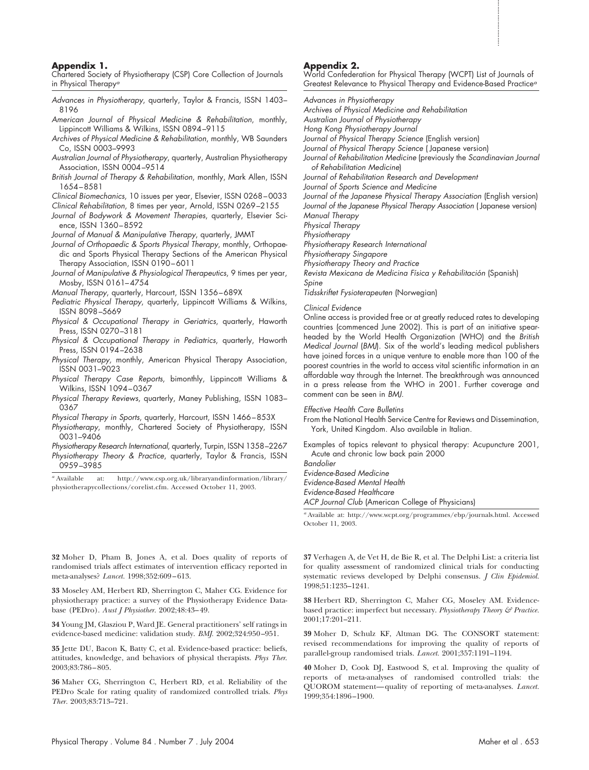#### **Appendix 1.**

Chartered Society of Physiotherapy (CSP) Core Collection of Journals in Physical Therapy*<sup>a</sup>*

- *Advances in Physiotherapy*, quarterly, Taylor & Francis, ISSN 1403– 8196
- *American Journal of Physical Medicine & Rehabilitation*, monthly, Lippincott Williams & Wilkins, ISSN 0894–9115
- *Archives of Physical Medicine & Rehabilitation*, monthly, WB Saunders Co, ISSN 0003–9993
- *Australian Journal of Physiotherapy*, quarterly, Australian Physiotherapy Association, ISSN 0004-9514
- *British Journal of Therapy & Rehabilitation*, monthly, Mark Allen, ISSN 1654–8581
- *Clinical Biomechanics*, 10 issues per year, Elsevier, ISSN 0268–0033

*Clinical Rehabilitation*, 8 times per year, Arnold, ISSN 0269–2155

*Journal of Bodywork & Movement Therapies*, quarterly, Elsevier Science, ISSN 1360–8592

*Journal of Manual & Manipulative Therapy*, quarterly, JMMT

*Journal of Orthopaedic & Sports Physical Therapy*, monthly, Orthopaedic and Sports Physical Therapy Sections of the American Physical Therapy Association, ISSN 0190–6011

*Journal of Manipulative & Physiological Therapeutics*, 9 times per year, Mosby, ISSN 0161–4754

- *Manual Therapy*, quarterly, Harcourt, ISSN 1356–689X
- *Pediatric Physical Therapy*, quarterly, Lippincott Williams & Wilkins, ISSN 8098–5669
- *Physical & Occupational Therapy in Geriatrics*, quarterly, Haworth Press, ISSN 0270–3181
- *Physical & Occupational Therapy in Pediatrics*, quarterly, Haworth Press, ISSN 0194–2638
- *Physical Therapy,* monthly, American Physical Therapy Association, ISSN 0031–9023
- *Physical Therapy Case Reports*, bimonthly, Lippincott Williams & Wilkins, ISSN 1094–0367
- *Physical Therapy Reviews*, quarterly, Maney Publishing, ISSN 1083– 0367
- *Physical Therapy in Sports*, quarterly, Harcourt, ISSN 1466–853X
- *Physiotherapy*, monthly, Chartered Society of Physiotherapy, ISSN 0031–9406
- *Physiotherapy Research International*, quarterly, Turpin, ISSN 1358–2267 *Physiotherapy Theory & Practice*, quarterly, Taylor & Francis, ISSN 0959–3985
- *<sup>a</sup>* Available at: http://www.csp.org.uk/libraryandinformation/library/ physiotherapycollections/corelist.cfm. Accessed October 11, 2003.

**32** Moher D, Pham B, Jones A, et al. Does quality of reports of randomised trials affect estimates of intervention efficacy reported in meta-analyses? *Lancet.* 1998;352:609–613.

**33** Moseley AM, Herbert RD, Sherrington C, Maher CG. Evidence for physiotherapy practice: a survey of the Physiotherapy Evidence Database (PEDro). *Aust J Physiother.* 2002;48:43–49.

**34** Young JM, Glasziou P, Ward JE. General practitioners' self ratings in evidence-based medicine: validation study. *BMJ.* 2002;324:950–951.

**35** Jette DU, Bacon K, Batty C, et al. Evidence-based practice: beliefs, attitudes, knowledge, and behaviors of physical therapists. *Phys Ther*. 2003;83:786–805.

**36** Maher CG, Sherrington C, Herbert RD, et al. Reliability of the PEDro Scale for rating quality of randomized controlled trials. *Phys Ther.* 2003;83:713–721.

#### **Appendix 2.**

World Confederation for Physical Therapy (WCPT) List of Journals of Greatest Relevance to Physical Therapy and Evidence-Based Practice*<sup>a</sup>*

*Advances in Physiotherapy*

*Archives of Physical Medicine and Rehabilitation*

*Australian Journal of Physiotherapy*

*Hong Kong Physiotherapy Journal*

*Journal of Physical Therapy Science* (English version)

*Journal of Physical Therapy Science* ( Japanese version)

*Journal of Rehabilitation Medicine* (previously the *Scandinavian Journal of Rehabilitation Medicine*)

*Journal of Rehabilitation Research and Development*

*Journal of Sports Science and Medicine*

*Journal of the Japanese Physical Therapy Association* (English version) *Journal of the Japanese Physical Therapy Association* ( Japanese version)

*Manual Therapy*

*Physical Therapy Physiotherapy*

*Physiotherapy Research International*

*Physiotherapy Singapore*

*Physiotherapy Theory and Practice*

*Revista Mexicana de Medicina F´ısica y Rehabilitacio´n* (Spanish)

*Spine Tidsskriftet Fysioterapeuten* (Norwegian)

#### *Clinical Evidence*

Online access is provided free or at greatly reduced rates to developing countries (commenced June 2002). This is part of an initiative spearheaded by the World Health Organization (WHO) and the *British Medical Journal* (*BMJ*). Six of the world's leading medical publishers have joined forces in a unique venture to enable more than 100 of the poorest countries in the world to access vital scientific information in an affordable way through the Internet. The breakthrough was announced in a press release from the WHO in 2001. Further coverage and comment can be seen in *BMJ*. **Appendix ...** of the<br>order is a strength for the case of bonds. Appendix norm is the case of the case of considering the case of the case of the case of the case of the case of the case of the case of the case of the cas

*Effective Health Care Bulletins*

From the National Health Service Centre for Reviews and Dissemination, York, United Kingdom. Also available in Italian.

Examples of topics relevant to physical therapy: Acupuncture 2001, Acute and chronic low back pain 2000

*Bandolier*

*Evidence-Based Medicine*

*Evidence-Based Mental Health*

*Evidence-Based Healthcare*

*ACP Journal Club* (American College of Physicians)

*<sup>a</sup>* Available at: http://www.wcpt.org/programmes/ebp/journals.html. Accessed October 11, 2003.

**37** Verhagen A, de Vet H, de Bie R, et al. The Delphi List: a criteria list for quality assessment of randomized clinical trials for conducting systematic reviews developed by Delphi consensus. *J Clin Epidemiol.* 1998;51:1235–1241.

**38** Herbert RD, Sherrington C, Maher CG, Moseley AM. Evidencebased practice: imperfect but necessary. *Physiotherapy Theory & Practice.* 2001;17:201–211.

**39** Moher D, Schulz KF, Altman DG. The CONSORT statement: revised recommendations for improving the quality of reports of parallel-group randomised trials. *Lancet.* 2001;357:1191–1194.

**40** Moher D, Cook DJ, Eastwood S, et al. Improving the quality of reports of meta-analyses of randomised controlled trials: the QUOROM statement—quality of reporting of meta-analyses. *Lancet.* 1999;354:1896–1900.